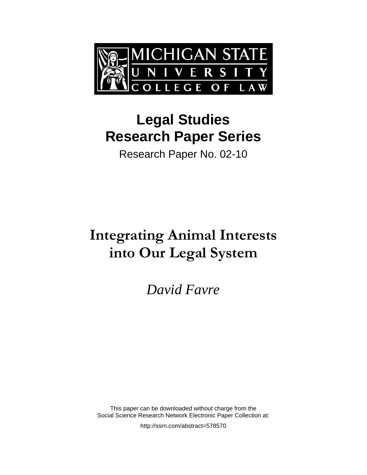

# **Legal Studies Research Paper Series**

Research Paper No. 02-10

# **Integrating Animal Interests into Our Legal System**

*David Favre* 

This paper can be downloaded without charge from the Social Science Research Network Electronic Paper Collection at:

http://ssrn.com/abstract=578570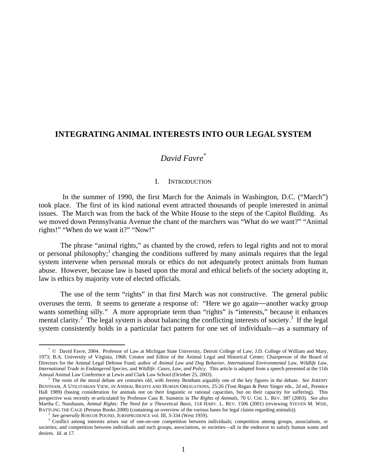## **INTEGRATING ANIMAL INTERESTS INTO OUR LEGAL SYSTEM**

## *David Favre\**

#### I. INTRODUCTION

In the summer of 1990, the first March for the Animals in Washington, D.C. ("March") took place. The first of its kind national event attracted thousands of people interested in animal issues. The March was from the back of the White House to the steps of the Capitol Building. As we moved down Pennsylvania Avenue the chant of the marchers was "What do we want?" "Animal rights!" "When do we want it?" "Now!"

The phrase "animal rights," as chanted by the crowd, refers to legal rights and not to moral or personal philosophy;<sup>1</sup> changing the conditions suffered by many animals requires that the legal system intervene when personal morals or ethics do not adequately protect animals from human abuse. However, because law is based upon the moral and ethical beliefs of the society adopting it, law is ethics by majority vote of elected officials.

The use of the term "rights" in that first March was not constructive. The general public overuses the term. It seems to generate a response of: "Here we go again—another wacky group wants something silly." A more appropriate term than "rights" is "interests," because it enhances mental clarity.<sup>2</sup> The legal system is about balancing the conflicting interests of society.<sup>3</sup> If the legal system consistently holds in a particular fact pattern for one set of individuals—as a summary of

 <sup>\*</sup> © David Favre, 2004. Professor of Law at Michigan State University, Detroit College of Law; J.D. College of William and Mary, 1973; B.A. University of Virginia, 1968; Creator and Editor of the Animal Legal and Historical Center; Chairperson of the Board of Directors for the Animal Legal Defense Fund; author of *Animal Law and Dog Behavior*, *International Environmental Law*, *Wildlife Law*, *International Trade in Endangered Species*, and *Wildlife: Cases, Law, and Policy*. This article is adapted from a speech presented at the 11th Annual Animal Law Conference at Lewis and Clark Law School (October 25, 2003).

<sup>&</sup>lt;sup>1</sup> The roots of the moral debate are centuries old, with Jeremy Bentham arguably one of the key figures in the debate. *See* JEREMY BENTHAM, A UTILITARIAN VIEW, IN ANIMAL RIGHTS AND HUMAN OBLIGATIONS, 25-26 (Tom Regan & Peter Singer eds., 2d ed., Prentice Hall 1989) (basing consideration for animals not on their linguistic or rational capacities, but on their capacity for suffering). This perspective was recently re-articulated by Professor Cass R. Sunstein in *The Rights of Animals*, 70 U. CHI. L. REV. 387 (2003). *See also* Martha C. Nussbaum, *Animal Rights: The Need for a Theoretical Basis*, 114 HARV. L. REV. 1506 (2001) (reviewing STEVEN M. WISE, RATTLING THE CAGE (Perseus Books 2000) (containing an overview of the various bases for legal claims regarding animals)).<br><sup>2</sup> See generally ROSCOE POUND, JURISPRUDENCE vol. III, 3-334 (West 1959).<br><sup>3</sup> Conflict among intere

societies; and competition between individuals and such groups, associations, or societies—all in the endeavor to satisfy human wants and desires. *Id.* at 17.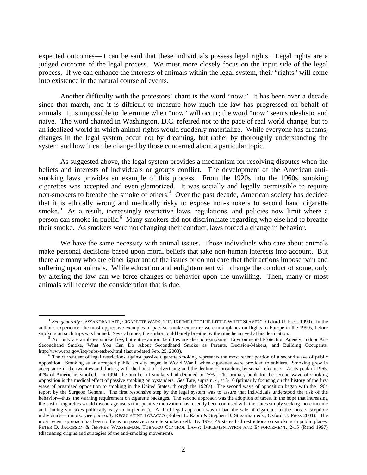expected outcomes—it can be said that these individuals possess legal rights. Legal rights are a judged outcome of the legal process. We must more closely focus on the input side of the legal process. If we can enhance the interests of animals within the legal system, their "rights" will come into existence in the natural course of events.

Another difficulty with the protestors' chant is the word "now." It has been over a decade since that march, and it is difficult to measure how much the law has progressed on behalf of animals. It is impossible to determine when "now" will occur; the word "now" seems idealistic and naive. The word chanted in Washington, D.C. referred not to the pace of real world change, but to an idealized world in which animal rights would suddenly materialize. While everyone has dreams, changes in the legal system occur not by dreaming, but rather by thoroughly understanding the system and how it can be changed by those concerned about a particular topic.

As suggested above, the legal system provides a mechanism for resolving disputes when the beliefs and interests of individuals or groups conflict. The development of the American antismoking laws provides an example of this process. From the 1920s into the 1960s, smoking cigarettes was accepted and even glamorized. It was socially and legally permissible to require non-smokers to breathe the smoke of others.<sup>4</sup> Over the past decade, American society has decided that it is ethically wrong and medically risky to expose non-smokers to second hand cigarette smoke.<sup>5</sup> As a result, increasingly restrictive laws, regulations, and policies now limit where a person can smoke in public.<sup>6</sup> Many smokers did not discriminate regarding who else had to breathe their smoke. As smokers were not changing their conduct, laws forced a change in behavior.

We have the same necessity with animal issues. Those individuals who care about animals make personal decisions based upon moral beliefs that take non-human interests into account. But there are many who are either ignorant of the issues or do not care that their actions impose pain and suffering upon animals. While education and enlightenment will change the conduct of some, only by altering the law can we force changes of behavior upon the unwilling. Then, many or most animals will receive the consideration that is due.

 <sup>4</sup> *See generally* CASSANDRA TATE, CIGARETTE WARS: THE TRIUMPH OF "THE LITTLE WHITE SLAVER" (Oxford U. Press 1999). In the author's experience, the most oppressive examples of passive smoke exposure were in airplanes on flights to Europe in the 1990s, before smoking on such trips was banned. Several times, the author could barely breathe by the time he arrived at his destination.

Not only are airplanes smoke free, but entire airport facilities are also non-smoking. Environmental Protection Agency, Indoor Air-Secondhand Smoke, What You Can Do About Secondhand Smoke as Parents, Decision-Makers, and Building Occupants, http://www.epa.gov/iaq/pubs/etsbro.html (last updated Sep. 25, 2003).

<sup>&</sup>lt;sup>6</sup> The current set of legal restrictions against passive cigarette smoking represents the most recent portion of a second wave of public opposition. Smoking as an accepted public activity began in World War I, when cigarettes were provided to soldiers. Smoking grew in acceptance in the twenties and thirties, with the boost of advertising and the decline of preaching by social reformers. At its peak in 1965, 42% of Americans smoked. In 1994, the number of smokers had declined to 25%. The primary hook for the second wave of smoking opposition is the medical effect of passive smoking on bystanders. *See* Tate, supra n. 4, at 3-10 (primarily focusing on the history of the first wave of organized opposition to smoking in the United States, through the 1920s). The second wave of opposition began with the 1964 report by the Surgeon General. The first responsive step by the legal system was to assure that individuals understood the risk of the behavior—thus, the warning requirement on cigarette packages. The second approach was the adoption of taxes, in the hope that increasing the cost of cigarettes would discourage users (this positive motivation has recently been confused with the states simply seeking more income and finding sin taxes politically easy to implement). A third legal approach was to ban the sale of cigarettes to the most susceptible individuals—minors. *See generally* REGULATING TOBACCO (Robert L. Rabin & Stephen D. Stigarman eds., Oxford U. Press 2001). The most recent approach has been to focus on passive cigarette smoke itself. By 1997, 49 states had restrictions on smoking in public places. PETER D. JACOBSON & JEFFREY WASSERMAN, TOBACCO CONTROL LAWS: IMPLEMENTATION AND ENFORCEMENT, 2-15 (Rand 1997) (discussing origins and strategies of the anti-smoking movement).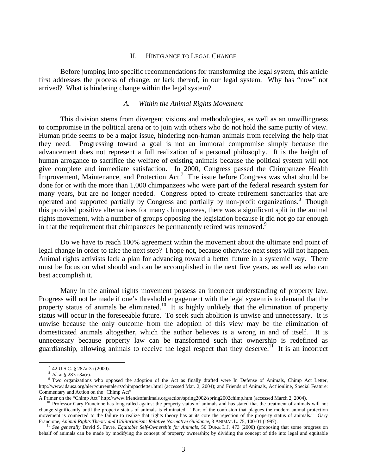#### II. HINDRANCE TO LEGAL CHANGE

Before jumping into specific recommendations for transforming the legal system, this article first addresses the process of change, or lack thereof, in our legal system. Why has "now" not arrived? What is hindering change within the legal system?

#### *A. Within the Animal Rights Movement*

This division stems from divergent visions and methodologies, as well as an unwillingness to compromise in the political arena or to join with others who do not hold the same purity of view. Human pride seems to be a major issue, hindering non-human animals from receiving the help that they need. Progressing toward a goal is not an immoral compromise simply because the advancement does not represent a full realization of a personal philosophy. It is the height of human arrogance to sacrifice the welfare of existing animals because the political system will not give complete and immediate satisfaction. In 2000, Congress passed the Chimpanzee Health Improvement, Maintenance, and Protection Act.<sup>7</sup> The issue before Congress was what should be done for or with the more than 1,000 chimpanzees who were part of the federal research system for many years, but are no longer needed. Congress opted to create retirement sanctuaries that are operated and supported partially by Congress and partially by non-profit organizations.<sup>8</sup> Though this provided positive alternatives for many chimpanzees, there was a significant split in the animal rights movement, with a number of groups opposing the legislation because it did not go far enough in that the requirement that chimpanzees be permanently retired was removed.<sup>9</sup>

Do we have to reach 100% agreement within the movement about the ultimate end point of legal change in order to take the next step? I hope not, because otherwise next steps will not happen. Animal rights activists lack a plan for advancing toward a better future in a systemic way. There must be focus on what should and can be accomplished in the next five years, as well as who can best accomplish it.

Many in the animal rights movement possess an incorrect understanding of property law. Progress will not be made if one's threshold engagement with the legal system is to demand that the property status of animals be eliminated.<sup>10</sup> It is highly unlikely that the elimination of property status will occur in the foreseeable future. To seek such abolition is unwise and unnecessary. It is unwise because the only outcome from the adoption of this view may be the elimination of domesticated animals altogether, which the author believes is a wrong in and of itself. It is unnecessary because property law can be transformed such that ownership is redefined as guardianship, allowing animals to receive the legal respect that they deserve.<sup>11</sup> It is an incorrect

 $\overline{7}$ 42 U.S.C. § 287a-3a (2000).

 $8$  *Id.* at § 287a-3a(e).

<sup>&</sup>lt;sup>9</sup> Two organizations who opposed the adoption of the Act as finally drafted were In Defense of Animals, Chimp Act Letter, http://www.idausa.org/alert/currentalerts/chimpactletter.html (accessed Mar. 2, 2004); and Friends of Animals, Act'ionline, Special Feature: Commentary and Action on the "Chimp Act"

A Primer on the "Chimp Act" http://www.friendsofanimals.org/action/spring2002/spring2002chimp.htm (accessed March 2, 2004).<br><sup>10</sup> Professor Gary Francione has long railed against the property status of animals and has state

change significantly until the property status of animals is eliminated. "Part of the confusion that plagues the modern animal protection movement is connected to the failure to realize that rights theory has at its core the rejection of the property status of animals." Gary Francione, Animal Rights Theory and Utilitarianism: Relative Normative Guidance, 3 ANIMAL L. 75, 100-01 (1997).<br><sup>11</sup> See generally David S. Favre, Equitable Self-Ownership for Animals, 50 DUKE L.J. 473 (2000) (proposing th

behalf of animals can be made by modifying the concept of property ownership; by dividing the concept of title into legal and equitable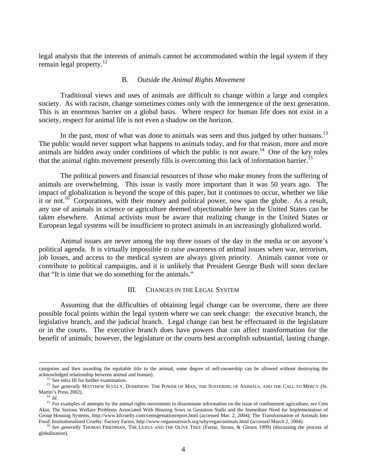legal analysis that the interests of animals cannot be accommodated within the legal system if they remain legal property. $12$ 

#### B. *Outside the Animal Rights Movement*

Traditional views and uses of animals are difficult to change within a large and complex society. As with racism, change sometimes comes only with the immergence of the next generation. This is an enormous barrier on a global basis. Where respect for human life does not exist in a society, respect for animal life is not even a shadow on the horizon.

In the past, most of what was done to animals was seen and thus judged by other humans.<sup>13</sup> The public would never support what happens to animals today, and for that reason, more and more animals are hidden away under conditions of which the public is not aware.<sup>14</sup> One of the key roles that the animal rights movement presently fills is overcoming this lack of information barrier.<sup>15</sup>

The political powers and financial resources of those who make money from the suffering of animals are overwhelming. This issue is vastly more important than it was 50 years ago. The impact of globalization is beyond the scope of this paper, but it continues to occur, whether we like it or not.<sup>16</sup> Corporations, with their money and political power, now span the globe. As a result, any use of animals in science or agriculture deemed objectionable here in the United States can be taken elsewhere. Animal activists must be aware that realizing change in the United States or European legal systems will be insufficient to protect animals in an increasingly globalized world.

Animal issues are never among the top three issues of the day in the media or on anyone's political agenda. It is virtually impossible to raise awareness of animal issues when war, terrorism, job losses, and access to the medical system are always given priority. Animals cannot vote or contribute to political campaigns, and it is unlikely that President George Bush will soon declare that "It is time that we do something for the animals."

#### III. CHANGES IN THE LEGAL SYSTEM

Assuming that the difficulties of obtaining legal change can be overcome, there are three possible focal points within the legal system where we can seek change: the executive branch, the legislative branch, and the judicial branch. Legal change can best be effectuated in the legislature or in the courts. The executive branch does have powers that can affect transformation for the benefit of animals; however, the legislature or the courts best accomplish substantial, lasting change.

categories and then awarding the equitable title to the animal, some degree of self-ownership can be allowed without destroying the acknowledged relationship between animal and human). 12 See infra III for further examination.

<sup>&</sup>lt;sup>13</sup> See generally MATTHEW SCULLY, DOMINION: THE POWER OF MAN, THE SUFFERING OF ANIMALS, AND THE CALL TO MERCY (St. Martin's Press 2002).<br><sup>14</sup> *Id.*<br><sup>15</sup> For examples of attempts by the animal rights movements to disseminate information on the issue of confinement agriculture, *see* Cem

Akin, The Serious Welfare Problems Associated With Housing Sows in Gestation Stalls and the Immediate Need for Implementation of Group Housing Systems, http://www.kfcruelty.com/cemsgestationreport.html (accessed Mar. 2, 2004); The Transformation of Animals Into Food: Institutionalized Cruelty: Factory Farms, http://www.veganoutreach.org/whyvegan/ani

<sup>&</sup>lt;sup>16</sup> See generally THOMAS FRIEDMAN, THE LEXUS AND THE OLIVE TREE (Farrar, Straus, & Giroux 1999) (discussing the process of globalization).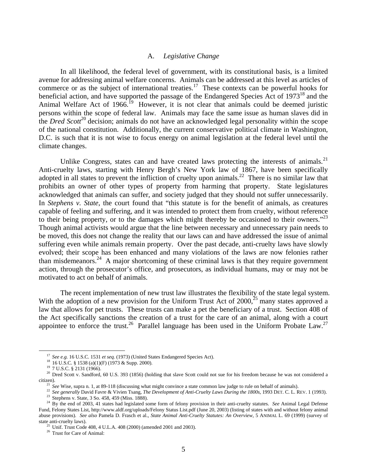### A. *Legislative Change*

In all likelihood, the federal level of government, with its constitutional basis, is a limited avenue for addressing animal welfare concerns. Animals can be addressed at this level as articles of commerce or as the subject of international treaties.<sup>17</sup> These contexts can be powerful hooks for beneficial action, and have supported the passage of the Endangered Species Act of 1973<sup>18</sup> and the Animal Welfare Act of  $1966$ .<sup>19</sup> However, it is not clear that animals could be deemed juristic persons within the scope of federal law. Animals may face the same issue as human slaves did in the *Dred Scott*<sup>20</sup> decision; animals do not have an acknowledged legal personality within the scope of the national constitution. Additionally, the current conservative political climate in Washington, D.C. is such that it is not wise to focus energy on animal legislation at the federal level until the climate changes.

Unlike Congress, states can and have created laws protecting the interests of animals.<sup>21</sup> Anti-cruelty laws, starting with Henry Bergh's New York law of 1867, have been specifically adopted in all states to prevent the infliction of cruelty upon animals.<sup>22</sup> There is no similar law that prohibits an owner of other types of property from harming that property. State legislatures acknowledged that animals can suffer, and society judged that they should not suffer unnecessarily. In *Stephens v. State*, the court found that "this statute is for the benefit of animals, as creatures capable of feeling and suffering, and it was intended to protect them from cruelty, without reference to their being property, or to the damages which might thereby be occasioned to their owners."<sup>23</sup> Though animal activists would argue that the line between necessary and unnecessary pain needs to be moved, this does not change the reality that our laws can and have addressed the issue of animal suffering even while animals remain property. Over the past decade, anti-cruelty laws have slowly evolved; their scope has been enhanced and many violations of the laws are now felonies rather than misdemeanors.<sup>24</sup> A major shortcoming of these criminal laws is that they require government action, through the prosecutor's office, and prosecutors, as individual humans, may or may not be motivated to act on behalf of animals.

The recent implementation of new trust law illustrates the flexibility of the state legal system. With the adoption of a new provision for the Uniform Trust Act of  $2000$ ,<sup>25</sup> many states approved a law that allows for pet trusts. These trusts can make a pet the beneficiary of a trust. Section 408 of the Act specifically sanctions the creation of a trust for the care of an animal, along with a court appointee to enforce the trust.<sup>26</sup> Parallel language has been used in the Uniform Probate Law.<sup>27</sup>

<sup>17</sup> *See e.g.* 16 U.S.C. 1531 *et seq.* (1973) (United States Endangered Species Act). 18 16 U.S.C. § 1538 (a)(1)(F) (1973 & Supp. 2000).

<sup>&</sup>lt;sup>19</sup> 7 U.S.C. § 2131 (1966).

<sup>&</sup>lt;sup>20</sup> Dred Scott v. Sandford, 60 U.S. 393 (1856) (holding that slave Scott could not sue for his freedom because he was not considered a

citizen).<br><sup>21</sup> See Wise, supra n. 1, at 89-118 (discussing what might convince a state common law judge to rule on behalf of animals).<br><sup>22</sup> See generally David Favre & Vivien Tsang, *The Development of Anti-Cruelty Laws Du* 

<sup>&</sup>lt;sup>24</sup> By the end of 2003, 41 states had legislated some form of felony provision in their anti-cruelty statutes. *See* Animal Legal Defense Fund, Felony States List, http://www.aldf.org/uploads/Felony Status List.pdf (June 20, 2003) (listing of states with and without felony animal abuse provisions). *See also* Pamela D. Frasch et al., *State Animal Anti-Cruelty Statutes: An Overview*, 5 ANIMAL L. 69 (1999) (survey of state anti-cruelty laws). <sup>25</sup> Unif. Trust Code 408, 4 U.L.A. 408 (2000) (amended 2001 and 2003).

<sup>&</sup>lt;sup>26</sup> Trust for Care of Animal: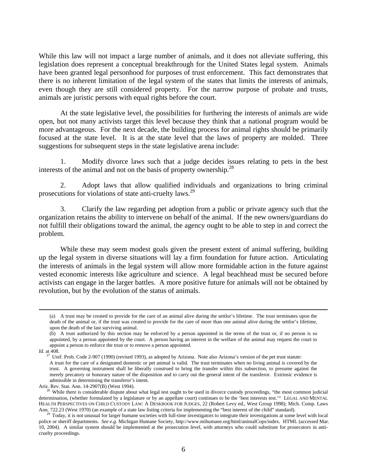While this law will not impact a large number of animals, and it does not alleviate suffering, this legislation does represent a conceptual breakthrough for the United States legal system. Animals have been granted legal personhood for purposes of trust enforcement. This fact demonstrates that there is no inherent limitation of the legal system of the states that limits the interests of animals, even though they are still considered property. For the narrow purpose of probate and trusts, animals are juristic persons with equal rights before the court.

At the state legislative level, the possibilities for furthering the interests of animals are wide open, but not many activists target this level because they think that a national program would be more advantageous. For the next decade, the building process for animal rights should be primarily focused at the state level. It is at the state level that the laws of property are molded. Three suggestions for subsequent steps in the state legislative arena include:

1. Modify divorce laws such that a judge decides issues relating to pets in the best interests of the animal and not on the basis of property ownership.<sup>28</sup>

2. Adopt laws that allow qualified individuals and organizations to bring criminal prosecutions for violations of state anti-cruelty laws.29

3. Clarify the law regarding pet adoption from a public or private agency such that the organization retains the ability to intervene on behalf of the animal. If the new owners/guardians do not fulfill their obligations toward the animal, the agency ought to be able to step in and correct the problem.

While these may seem modest goals given the present extent of animal suffering, building up the legal system in diverse situations will lay a firm foundation for future action. Articulating the interests of animals in the legal system will allow more formidable action in the future against vested economic interests like agriculture and science. A legal beachhead must be secured before activists can engage in the larger battles. A more positive future for animals will not be obtained by revolution, but by the evolution of the status of animals.

 <sup>(</sup>a) A trust may be created to provide for the care of an animal alive during the settlor's lifetime. The trust terminates upon the death of the animal or, if the trust was created to provide for the care of more than one animal alive during the settlor's lifetime, upon the death of the last surviving animal.

<sup>(</sup>b) A trust authorized by this section may be enforced by a person appointed in the terms of the trust or, if no person is so appointed, by a person appointed by the court. A person having an interest in the welfare of the animal may request the court to appoint a person to enforce the trust or to remove a person appointed.

*Id.* at 408.

<sup>&</sup>lt;sup>27</sup> Unif. Prob. Code 2-907 (1990) (revised 1993), as adopted by Arizona. Note also Arizona's version of the pet trust statute: A trust for the care of a designated domestic or pet animal is valid. The trust terminates when no living animal is covered by the trust. A governing instrument shall be liberally construed to bring the transfer within this subsection, to presume against the merely precatory or honorary nature of the disposition and to carry out the general intent of the transferor. Extrinsic evidence is admissible in determining the transferor's intent.

Ariz. Rev. Stat. Ann. 14-2907(B) (West 1994).<br><sup>28</sup> While there is considerable dispute about what legal test ought to be used in divorce custody proceedings, "the most common judicial determination, (whether formulated by a legislature or by an appellate court) continues to be the 'best interests test.'" LEGAL AND MENTAL HEALTH PERSPECTIVES ON CHILD CUSTODY LAW: A DESKBOOK FOR JUDGES, 22 (Robert Levy ed., West Group 1998); Mich. Comp. Laws Ann. 722.23 (West 1970) (an example of a state law listing criteria for implementing the "best interest of the child" standard).<br><sup>29</sup> Today, it is not unusual for larger humane societies with full-time investigators to int

police or sheriff departments. *See e.g.* Michigan Humane Society, http://www.mihumane.org/html/animalCops/index. HTML (accessed Mar. 10, 2004). A similar system should be implemented at the prosecution level, with attorneys who could substitute for prosecutors in anticruelty proceedings.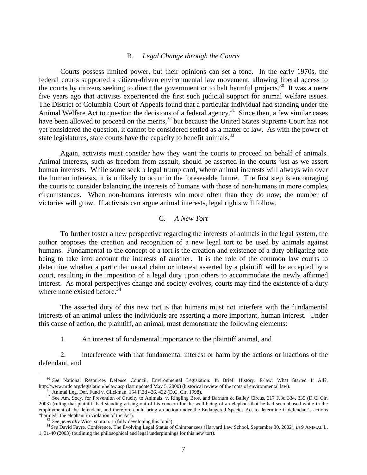#### B. *Legal Change through the Courts*

Courts possess limited power, but their opinions can set a tone. In the early 1970s, the federal courts supported a citizen-driven environmental law movement, allowing liberal access to the courts by citizens seeking to direct the government or to halt harmful projects.<sup>30</sup> It was a mere five years ago that activists experienced the first such judicial support for animal welfare issues. The District of Columbia Court of Appeals found that a particular individual had standing under the Animal Welfare Act to question the decisions of a federal agency.<sup>31</sup> Since then, a few similar cases have been allowed to proceed on the merits,  $32$  but because the United States Supreme Court has not yet considered the question, it cannot be considered settled as a matter of law. As with the power of state legislatures, state courts have the capacity to benefit animals. $33$ 

Again, activists must consider how they want the courts to proceed on behalf of animals. Animal interests, such as freedom from assault, should be asserted in the courts just as we assert human interests. While some seek a legal trump card, where animal interests will always win over the human interests, it is unlikely to occur in the foreseeable future. The first step is encouraging the courts to consider balancing the interests of humans with those of non-humans in more complex circumstances. When non-humans interests win more often than they do now, the number of victories will grow. If activists can argue animal interests, legal rights will follow.

### C. *A New Tort*

To further foster a new perspective regarding the interests of animals in the legal system, the author proposes the creation and recognition of a new legal tort to be used by animals against humans. Fundamental to the concept of a tort is the creation and existence of a duty obligating one being to take into account the interests of another. It is the role of the common law courts to determine whether a particular moral claim or interest asserted by a plaintiff will be accepted by a court, resulting in the imposition of a legal duty upon others to accommodate the newly affirmed interest. As moral perspectives change and society evolves, courts may find the existence of a duty where none existed before.  $34$ 

The asserted duty of this new tort is that humans must not interfere with the fundamental interests of an animal unless the individuals are asserting a more important, human interest. Under this cause of action, the plaintiff, an animal, must demonstrate the following elements:

1. An interest of fundamental importance to the plaintiff animal, and

2. interference with that fundamental interest or harm by the actions or inactions of the defendant, and

<sup>&</sup>lt;sup>30</sup> See National Resources Defense Council, Environmental Legislation: In Brief: History: E-law: What Started It All?, http://www.nrdc.org/legislation/helaw.asp (last updated May 5, 2000) (historical review of the roots of environmental law).<br><sup>31</sup> Animal Leg. Def. Fund v. Glickman, 154 F.3d 426, 432 (D.C. Cir. 1998).

<sup>32</sup> See Am. Socy. for Prevention of Cruelty to Animals. v. Ringling Bros. and Barnum & Bailey Circus, 317 F.3d 334, 335 (D.C. Cir. 2003) (ruling that plaintiff had standing arising out of his concern for the well-being of an elephant that he had seen abused while in the employment of the defendant, and therefore could bring an action under the Endangered Species Act to determine if defendant's actions "harmed" the elephant in violation of the Act).

<sup>33</sup> See generally Wise, supra n. 1 (fully developing this topic).<br><sup>34</sup> See David Favre, Conference, The Evolving Legal Status of Chimpanzees (Harvard Law School, September 30, 2002), in 9 ANIMAL L. 1, 31-40 (2003) (outlining the philosophical and legal underpinnings for this new tort).